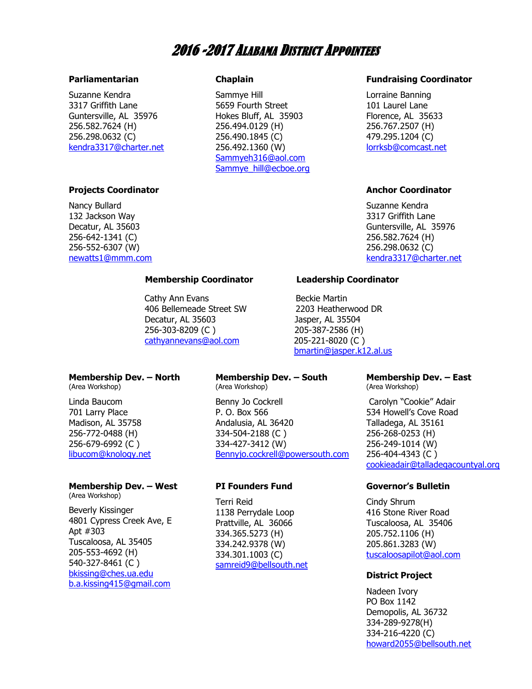# 2016 -2017 ALABAMA DISTRICT APPOINTEES

#### **Parliamentarian**

Suzanne Kendra 3317 Griffith Lane Guntersville, AL 35976 256.582.7624 (H) 256.298.0632 (C) [kendra3317@charter.net](mailto:kendra3317@charter.net)

#### **Projects Coordinator**

Nancy Bullard 132 Jackson Way Decatur, AL 35603 256-642-1341 (C) 256-552-6307 (W) [newatts1@mmm.com](mailto:newatts1@mmm.com)

#### **Chaplain**

Sammye Hill 5659 Fourth Street Hokes Bluff, AL 35903 256.494.0129 (H) 256.490.1845 (C) 256.492.1360 (W) [Sammyeh316@aol.com](mailto:Sammyeh316@aol.com) [Sammye\\_hill@ecboe.org](mailto:Sammye_hill@ecboe.org)

#### **Fundraising Coordinator**

Lorraine Banning 101 Laurel Lane Florence, AL 35633 256.767.2507 (H) 479.295.1204 (C) [lorrksb@comcast.net](mailto:lorrksb@comcast.net)

#### **Anchor Coordinator**

Suzanne Kendra 3317 Griffith Lane Guntersville, AL 35976 256.582.7624 (H) 256.298.0632 (C) [kendra3317@charter.net](mailto:kendra3317@charter.net)

#### **Membership Coordinator Leadership Coordinator**

Cathy Ann Evans **Beckie Martin**  406 Bellemeade Street SW 2203 Heatherwood DR Decatur, AL 35603 Jasper, AL 35504 256-303-8209 (C ) 205-387-2586 (H) [cathyannevans@aol.com](mailto:cathyannevans@aol.com) 205-221-8020 (C )

### **Membership Dev. – North**

(Area Workshop)

Linda Baucom 701 Larry Place Madison, AL 35758 256-772-0488 (H) 256-679-6992 (C ) [libucom@knology.net](mailto:libucom@knology.net)

### **Membership Dev. – West**

(Area Workshop)

Beverly Kissinger 4801 Cypress Creek Ave, E Apt #303 Tuscaloosa, AL 35405 205-553-4692 (H) 540-327-8461 (C ) [bkissing@ches.ua.edu](mailto:bkissing@ches.ua.edu) [b.a.kissing415@gmail.com](mailto:b.a.kissing415@gmail.com)

## **Membership Dev. – South**

(Area Workshop)

Benny Jo Cockrell P. O. Box 566 Andalusia, AL 36420 334-504-2188 (C ) 334-427-3412 (W) [Bennyjo.cockrell@powersouth.com](mailto:Bennyjo.cockrell@powersouth.com) 

#### **PI Founders Fund**

Terri Reid 1138 Perrydale Loop Prattville, AL 36066 334.365.5273 (H) 334.242.9378 (W) 334.301.1003 (C) [samreid9@bellsouth.net](mailto:samreid9@bellsouth.net)

[bmartin@jasper.k12.al.us](mailto:bmartin@jasper.k12.al.us)

#### **Membership Dev. – East** (Area Workshop)

Carolyn "Cookie" Adair

534 Howell's Cove Road Talladega, AL 35161 256-268-0253 (H) 256-249-1014 (W) 256-404-4343 (C ) [cookieadair@talladegacountyal.org](mailto:cookieadair@talladegacountyal.org)

#### **Governor's Bulletin**

Cindy Shrum 416 Stone River Road Tuscaloosa, AL 35406 205.752.1106 (H) 205.861.3283 (W) [tuscaloosapilot@aol.com](mailto:tuscaloosapilot@aol.com)

#### **District Project**

Nadeen Ivory PO Box 1142 Demopolis, AL 36732 334-289-9278(H) 334-216-4220 (C) [howard2055@bellsouth.net](mailto:howard2055@bellsouth.net)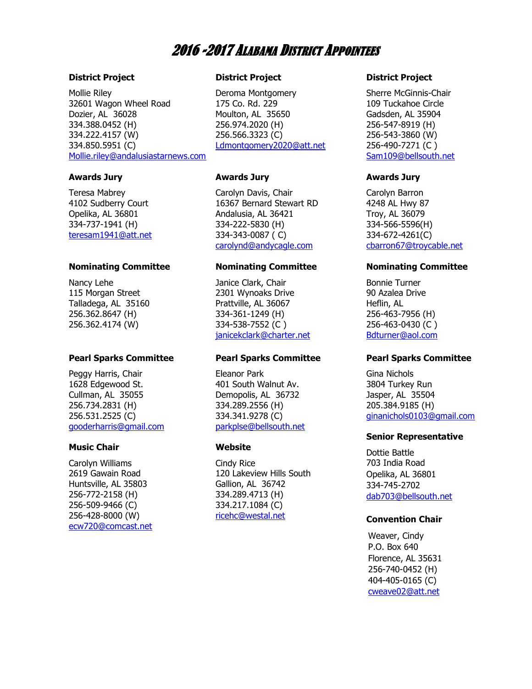# 2016 -2017 ALABAMA DISTRICT APPOINTEES

#### **District Project**

Mollie Riley 32601 Wagon Wheel Road Dozier, AL 36028 334.388.0452 (H) 334.222.4157 (W) 334.850.5951 (C) [Mollie.riley@andalusiastarnews.com](mailto:Mollie.riley@andalusiastarnews.com)

#### **Awards Jury**

Teresa Mabrey 4102 Sudberry Court Opelika, AL 36801 334-737-1941 (H) [teresam1941@att.net](mailto:teresam1941@att.net)

#### **Nominating Committee**

Nancy Lehe 115 Morgan Street Talladega, AL 35160 256.362.8647 (H) 256.362.4174 (W)

#### **Pearl Sparks Committee**

Peggy Harris, Chair 1628 Edgewood St. Cullman, AL 35055 256.734.2831 (H) 256.531.2525 (C) [gooderharris@gmail.com](mailto:gooderharris@gmail.com)

#### **Music Chair**

Carolyn Williams 2619 Gawain Road Huntsville, AL 35803 256-772-2158 (H) 256-509-9466 (C) 256-428-8000 (W) [ecw720@comcast.net](mailto:ecw720@comcast.net)

#### **District Project**

Deroma Montgomery 175 Co. Rd. 229 Moulton, AL 35650 256.974.2020 (H) 256.566.3323 (C) [Ldmontgomery2020@att.net](mailto:Ldmontgomery2020@att.net)

#### **Awards Jury**

Carolyn Davis, Chair 16367 Bernard Stewart RD Andalusia, AL 36421 334-222-5830 (H) 334-343-0087 ( C) [carolynd@andycagle.com](mailto:carolynd@andycagle.com)

#### **Nominating Committee**

Janice Clark, Chair 2301 Wynoaks Drive Prattville, AL 36067 334-361-1249 (H) 334-538-7552 (C ) [janicekclark@charter.net](mailto:janicekclark@charter.net)

#### **Pearl Sparks Committee**

Eleanor Park 401 South Walnut Av. Demopolis, AL 36732 334.289.2556 (H) 334.341.9278 (C) [parkplse@bellsouth.net](mailto:parkplse@bellsouth.net)

#### **Website**

Cindy Rice 120 Lakeview Hills South Gallion, AL 36742 334.289.4713 (H) 334.217.1084 (C) [ricehc@westal.net](mailto:ricehc@westal.net)

#### **District Project**

Sherre McGinnis-Chair 109 Tuckahoe Circle Gadsden, AL 35904 256-547-8919 (H) 256-543-3860 (W) 256-490-7271 (C ) [Sam109@bellsouth.net](mailto:Sam109@bellsouth.net)

#### **Awards Jury**

Carolyn Barron 4248 AL Hwy 87 Troy, AL 36079 334-566-5596(H) 334-672-4261(C) [cbarron67@troycable.net](mailto:cbarron67@troycable.net)

#### **Nominating Committee**

Bonnie Turner 90 Azalea Drive Heflin, AL 256-463-7956 (H) 256-463-0430 (C ) [Bdturner@aol.com](mailto:Bdturner@aol.com)

#### **Pearl Sparks Committee**

Gina Nichols 3804 Turkey Run Jasper, AL 35504 205.384.9185 (H) [ginanichols0103@gmail.com](mailto:ginanichols0103@gmail.com)

#### **Senior Representative**

Dottie Battle 703 India Road Opelika, AL 36801 334-745-2702 [dab703@bellsouth.net](mailto:dab703@bellsouth.net)

#### **Convention Chair**

Weaver, Cindy P.O. Box 640 Florence, AL 35631 256-740-0452 (H) 404-405-0165 (C) [cweave02@att.net](mailto:cweaver02@att.net)